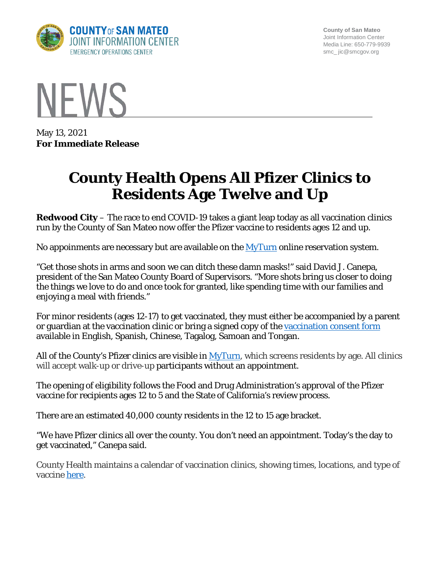

**County of San Mateo** Joint Information Center Media Line: 650-779-9939 smc\_ jic@smcgov.org



May 13, 2021 **For Immediate Release**

## **County Health Opens All Pfizer Clinics to Residents Age Twelve and Up**

**Redwood City** – The race to end COVID-19 takes a giant leap today as all vaccination clinics run by the County of San Mateo now offer the Pfizer vaccine to residents ages 12 and up.

No appoinments are necessary but are available on the  $MyTurn$  online reservation system.

"Get those shots in arms and soon we can ditch these damn masks!" said David J. Canepa, president of the San Mateo County Board of Supervisors. "More shots bring us closer to doing the things we love to do and once took for granted, like spending time with our families and enjoying a meal with friends."

For minor residents (ages 12-17) to get vaccinated, they must either be accompanied by a parent or guardian at the vaccination clinic or bring a signed copy of the vaccination [consent form](https://www.smchealth.org/post/covid-19-vaccination-consent-form) available in English, Spanish, Chinese, Tagalog, Samoan and Tongan.

All of the County's Pfizer clinics are visible in  $MyTurn$ , which screens residents by age. All clinics will accept walk-up or drive-up participants without an appointment.

The opening of eligibility follows the Food and Drug Administration's approval of the Pfizer vaccine for recipients ages 12 to 5 and the State of California's review process.

There are an estimated 40,000 county residents in the 12 to 15 age bracket.

"We have Pfizer clinics all over the county. You don't need an appointment. Today's the day to get vaccinated," Canepa said.

County Health maintains a calendar of vaccination clinics, showing times, locations, and type of vaccine [here.](https://www.smchealth.org/vaccine-clinic-calendar)